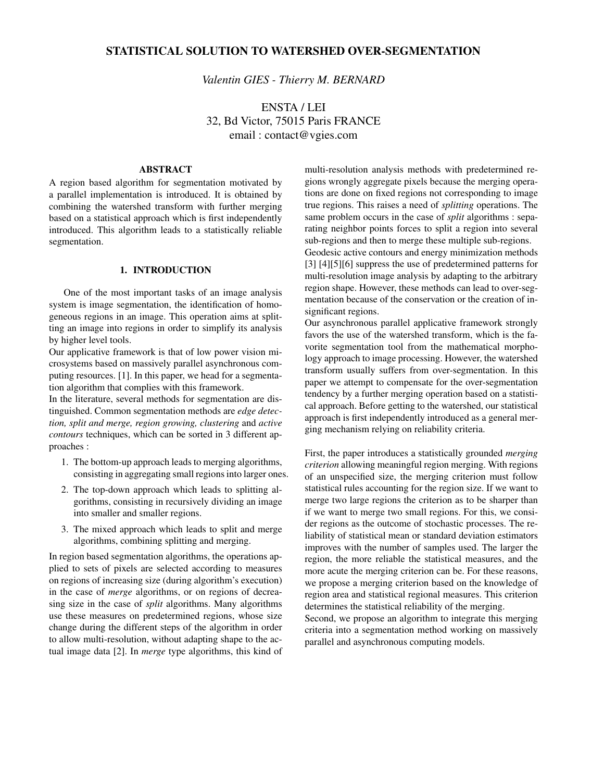# **STATISTICAL SOLUTION TO WATERSHED OVER-SEGMENTATION**

*Valentin GIES - Thierry M. BERNARD*

ENSTA / LEI 32, Bd Victor, 75015 Paris FRANCE email : contact@vgies.com

## **ABSTRACT**

A region based algorithm for segmentation motivated by a parallel implementation is introduced. It is obtained by combining the watershed transform with further merging based on a statistical approach which is first independently introduced. This algorithm leads to a statistically reliable segmentation.

# **1. INTRODUCTION**

One of the most important tasks of an image analysis system is image segmentation, the identification of homogeneous regions in an image. This operation aims at splitting an image into regions in order to simplify its analysis by higher level tools.

Our applicative framework is that of low power vision microsystems based on massively parallel asynchronous computing resources. [1]. In this paper, we head for a segmentation algorithm that complies with this framework.

In the literature, several methods for segmentation are distinguished. Common segmentation methods are *edge detection, split and merge, region growing, clustering* and *active contours* techniques, which can be sorted in 3 different approaches :

- 1. The bottom-up approach leads to merging algorithms, consisting in aggregating small regions into larger ones.
- 2. The top-down approach which leads to splitting algorithms, consisting in recursively dividing an image into smaller and smaller regions.
- 3. The mixed approach which leads to split and merge algorithms, combining splitting and merging.

In region based segmentation algorithms, the operations applied to sets of pixels are selected according to measures on regions of increasing size (during algorithm's execution) in the case of *merge* algorithms, or on regions of decreasing size in the case of *split* algorithms. Many algorithms use these measures on predetermined regions, whose size change during the different steps of the algorithm in order to allow multi-resolution, without adapting shape to the actual image data [2]. In *merge* type algorithms, this kind of

multi-resolution analysis methods with predetermined regions wrongly aggregate pixels because the merging operations are done on fixed regions not corresponding to image true regions. This raises a need of *splitting* operations. The same problem occurs in the case of *split* algorithms : separating neighbor points forces to split a region into several sub-regions and then to merge these multiple sub-regions.

Geodesic active contours and energy minimization methods [3] [4][5][6] suppress the use of predetermined patterns for multi-resolution image analysis by adapting to the arbitrary region shape. However, these methods can lead to over-segmentation because of the conservation or the creation of insignificant regions.

Our asynchronous parallel applicative framework strongly favors the use of the watershed transform, which is the favorite segmentation tool from the mathematical morphology approach to image processing. However, the watershed transform usually suffers from over-segmentation. In this paper we attempt to compensate for the over-segmentation tendency by a further merging operation based on a statistical approach. Before getting to the watershed, our statistical approach is first independently introduced as a general merging mechanism relying on reliability criteria.

First, the paper introduces a statistically grounded *merging criterion* allowing meaningful region merging. With regions of an unspecified size, the merging criterion must follow statistical rules accounting for the region size. If we want to merge two large regions the criterion as to be sharper than if we want to merge two small regions. For this, we consider regions as the outcome of stochastic processes. The reliability of statistical mean or standard deviation estimators improves with the number of samples used. The larger the region, the more reliable the statistical measures, and the more acute the merging criterion can be. For these reasons, we propose a merging criterion based on the knowledge of region area and statistical regional measures. This criterion determines the statistical reliability of the merging.

Second, we propose an algorithm to integrate this merging criteria into a segmentation method working on massively parallel and asynchronous computing models.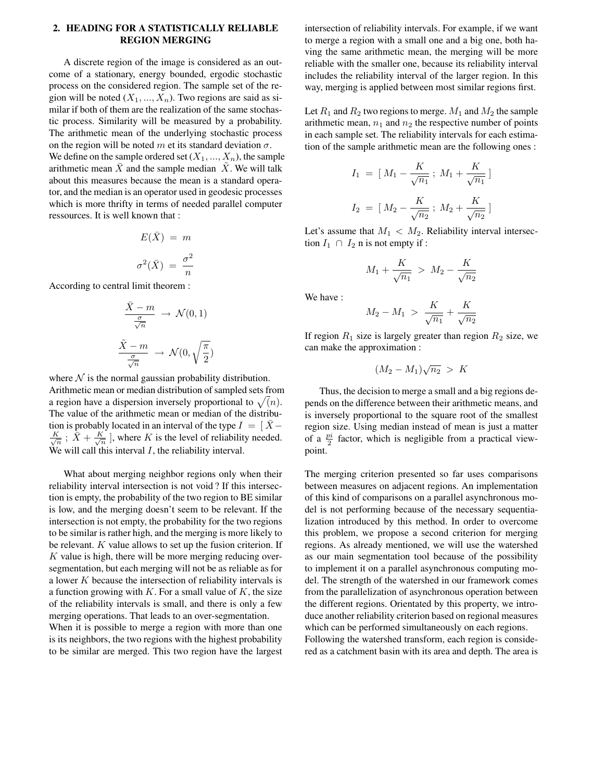# **2. HEADING FOR A STATISTICALLY RELIABLE REGION MERGING**

A discrete region of the image is considered as an outcome of a stationary, energy bounded, ergodic stochastic process on the considered region. The sample set of the region will be noted  $(X_1, ..., X_n)$ . Two regions are said as similar if both of them are the realization of the same stochastic process. Similarity will be measured by a probability. The arithmetic mean of the underlying stochastic process on the region will be noted m et its standard deviation  $\sigma$ . We define on the sample ordered set  $(X_1, ..., X_n)$ , the sample arithmetic mean  $\overline{X}$  and the sample median  $X$ . We will talk about this measures because the mean is a standard operator, and the median is an operator used in geodesic processes which is more thrifty in terms of needed parallel computer ressources. It is well known that :

$$
E(\bar{X}) = m
$$

$$
\sigma^2(\bar{X}) = \frac{\sigma^2}{n}
$$

According to central limit theorem :

$$
\frac{\bar{X} - m}{\frac{\sigma}{\sqrt{n}}} \to \mathcal{N}(0, 1)
$$
  

$$
\frac{\tilde{X} - m}{\frac{\sigma}{\sqrt{n}}} \to \mathcal{N}(0, \sqrt{\frac{\pi}{2}})
$$

where  $N$  is the normal gaussian probability distribution. Arithmetic mean or median distribution of sampled sets from a region have a dispersion inversely proportional to  $\sqrt(n)$ . The value of the arithmetic mean or median of the distribution is probably located in an interval of the type  $I = [X -]$  $\frac{K}{\sqrt{n}}$ ;  $\bar{X} + \frac{K}{\sqrt{n}}$ , where K is the level of reliability needed. We will call this interval  $I$ , the reliability interval.

What about merging neighbor regions only when their reliability interval intersection is not void ? If this intersection is empty, the probability of the two region to BE similar is low, and the merging doesn't seem to be relevant. If the intersection is not empty, the probability for the two regions to be similar is rather high, and the merging is more likely to be relevant.  $K$  value allows to set up the fusion criterion. If  $K$  value is high, there will be more merging reducing oversegmentation, but each merging will not be as reliable as for a lower K because the intersection of reliability intervals is a function growing with  $K$ . For a small value of  $K$ , the size of the reliability intervals is small, and there is only a few merging operations. That leads to an over-segmentation. When it is possible to merge a region with more than one

is its neighbors, the two regions with the highest probability to be similar are merged. This two region have the largest intersection of reliability intervals. For example, if we want to merge a region with a small one and a big one, both having the same arithmetic mean, the merging will be more reliable with the smaller one, because its reliability interval includes the reliability interval of the larger region. In this way, merging is applied between most similar regions first.

Let  $R_1$  and  $R_2$  two regions to merge.  $M_1$  and  $M_2$  the sample arithmetic mean,  $n_1$  and  $n_2$  the respective number of points in each sample set. The reliability intervals for each estimation of the sample arithmetic mean are the following ones :

$$
I_1 = [M_1 - \frac{K}{\sqrt{n_1}}; M_1 + \frac{K}{\sqrt{n_1}}]
$$
  

$$
I_2 = [M_2 - \frac{K}{\sqrt{n_2}}; M_2 + \frac{K}{\sqrt{n_2}}]
$$

Let's assume that  $M_1 < M_2$ . Reliability interval intersection  $I_1 \cap I_2$  n is not empty if :

$$
M_1 + \frac{K}{\sqrt{n_1}} > M_2 - \frac{K}{\sqrt{n_2}}
$$

We have :

$$
M_2 - M_1 \ > \ \frac{K}{\sqrt{n_1}} + \frac{K}{\sqrt{n_2}}
$$

If region  $R_1$  size is largely greater than region  $R_2$  size, we can make the approximation :

$$
(M_2 - M_1)\sqrt{n_2} > K
$$

Thus, the decision to merge a small and a big regions depends on the difference between their arithmetic means, and is inversely proportional to the square root of the smallest region size. Using median instead of mean is just a matter of a  $\frac{pi}{2}$  factor, which is negligible from a practical viewpoint.

The merging criterion presented so far uses comparisons between measures on adjacent regions. An implementation of this kind of comparisons on a parallel asynchronous model is not performing because of the necessary sequentialization introduced by this method. In order to overcome this problem, we propose a second criterion for merging regions. As already mentioned, we will use the watershed as our main segmentation tool because of the possibility to implement it on a parallel asynchronous computing model. The strength of the watershed in our framework comes from the parallelization of asynchronous operation between the different regions. Orientated by this property, we introduce another reliability criterion based on regional measures which can be performed simultaneously on each regions. Following the watershed transform, each region is considered as a catchment basin with its area and depth. The area is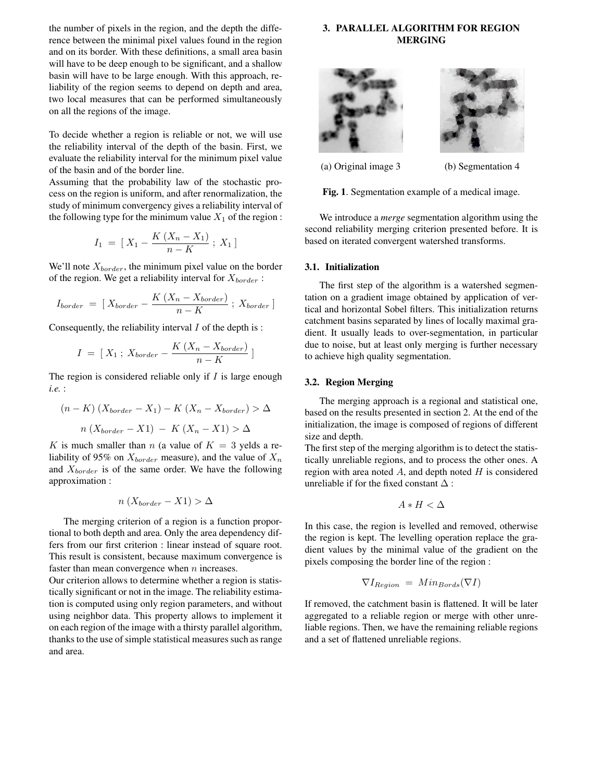the number of pixels in the region, and the depth the difference between the minimal pixel values found in the region and on its border. With these definitions, a small area basin will have to be deep enough to be significant, and a shallow basin will have to be large enough. With this approach, reliability of the region seems to depend on depth and area, two local measures that can be performed simultaneously on all the regions of the image.

To decide whether a region is reliable or not, we will use the reliability interval of the depth of the basin. First, we evaluate the reliability interval for the minimum pixel value of the basin and of the border line.

Assuming that the probability law of the stochastic process on the region is uniform, and after renormalization, the study of minimum convergency gives a reliability interval of the following type for the minimum value  $X_1$  of the region :

$$
I_1 = [X_1 - \frac{K(X_n - X_1)}{n - K} ; X_1]
$$

We'll note  $X_{border}$ , the minimum pixel value on the border of the region. We get a reliability interval for  $X_{border}$ :

$$
I_{border} = [X_{border} - \frac{K(X_n - X_{border})}{n - K}; X_{border}]
$$

Consequently, the reliability interval  $I$  of the depth is :

$$
I = [X_1; X_{border} - \frac{K(X_n - X_{border})}{n - K}]
$$

The region is considered reliable only if  $I$  is large enough *i.e.* :

$$
(n - K) (X_{border} - X_1) - K (X_n - X_{border}) > \Delta
$$

$$
n (X_{border} - X1) - K (X_n - X1) > \Delta
$$

K is much smaller than n (a value of  $K = 3$  yelds a reliability of 95% on  $X_{border}$  measure), and the value of  $X_n$ and  $X_{border}$  is of the same order. We have the following approximation :

$$
n\left(X_{border} - X1\right) > \Delta
$$

The merging criterion of a region is a function proportional to both depth and area. Only the area dependency differs from our first criterion : linear instead of square root. This result is consistent, because maximum convergence is faster than mean convergence when  $n$  increases.

Our criterion allows to determine whether a region is statistically significant or not in the image. The reliability estimation is computed using only region parameters, and without using neighbor data. This property allows to implement it on each region of the image with a thirsty parallel algorithm, thanks to the use of simple statistical measures such as range and area.

# **3. PARALLEL ALGORITHM FOR REGION MERGING**





(a) Original image 3 (b) Segmentation 4

**Fig. 1**. Segmentation example of a medical image.

We introduce a *merge* segmentation algorithm using the second reliability merging criterion presented before. It is based on iterated convergent watershed transforms.

## **3.1. Initialization**

The first step of the algorithm is a watershed segmentation on a gradient image obtained by application of vertical and horizontal Sobel filters. This initialization returns catchment basins separated by lines of locally maximal gradient. It usually leads to over-segmentation, in particular due to noise, but at least only merging is further necessary to achieve high quality segmentation.

#### **3.2. Region Merging**

The merging approach is a regional and statistical one, based on the results presented in section 2. At the end of the initialization, the image is composed of regions of different size and depth.

The first step of the merging algorithm is to detect the statistically unreliable regions, and to process the other ones. A region with area noted  $A$ , and depth noted  $H$  is considered unreliable if for the fixed constant  $\Delta$ :

$$
A * H < \Delta
$$

In this case, the region is levelled and removed, otherwise the region is kept. The levelling operation replace the gradient values by the minimal value of the gradient on the pixels composing the border line of the region :

$$
\nabla I_{Region} = Min_{Bords}(\nabla I)
$$

If removed, the catchment basin is flattened. It will be later aggregated to a reliable region or merge with other unreliable regions. Then, we have the remaining reliable regions and a set of flattened unreliable regions.